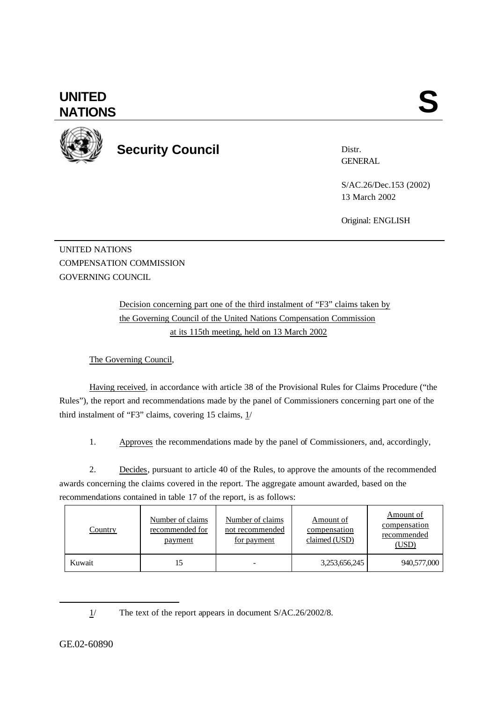## **UNITED** UNITED SANTIONS



## **Security Council**

Distr. **GENERAL** 

S/AC.26/Dec.153 (2002) 13 March 2002

Original: ENGLISH

UNITED NATIONS COMPENSATION COMMISSION GOVERNING COUNCIL

> Decision concerning part one of the third instalment of "F3" claims taken by the Governing Council of the United Nations Compensation Commission at its 115th meeting, held on 13 March 2002

The Governing Council,

Having received, in accordance with article 38 of the Provisional Rules for Claims Procedure ("the Rules"), the report and recommendations made by the panel of Commissioners concerning part one of the third instalment of "F3" claims, covering 15 claims,  $1/$ 

1. Approves the recommendations made by the panel of Commissioners, and, accordingly,

2. Decides, pursuant to article 40 of the Rules, to approve the amounts of the recommended awards concerning the claims covered in the report. The aggregate amount awarded, based on the recommendations contained in table 17 of the report, is as follows:

| <u>Country</u> | Number of claims<br>recommended for<br>payment | Number of claims<br>not recommended<br>for payment | Amount of<br>compensation<br>claimed (USD) | Amount of<br>compensation<br>recommended<br>(USD) |
|----------------|------------------------------------------------|----------------------------------------------------|--------------------------------------------|---------------------------------------------------|
| Kuwait         |                                                |                                                    | 3,253,656,245                              | 940,577,000                                       |

1/ The text of the report appears in document S/AC.26/2002/8.

l